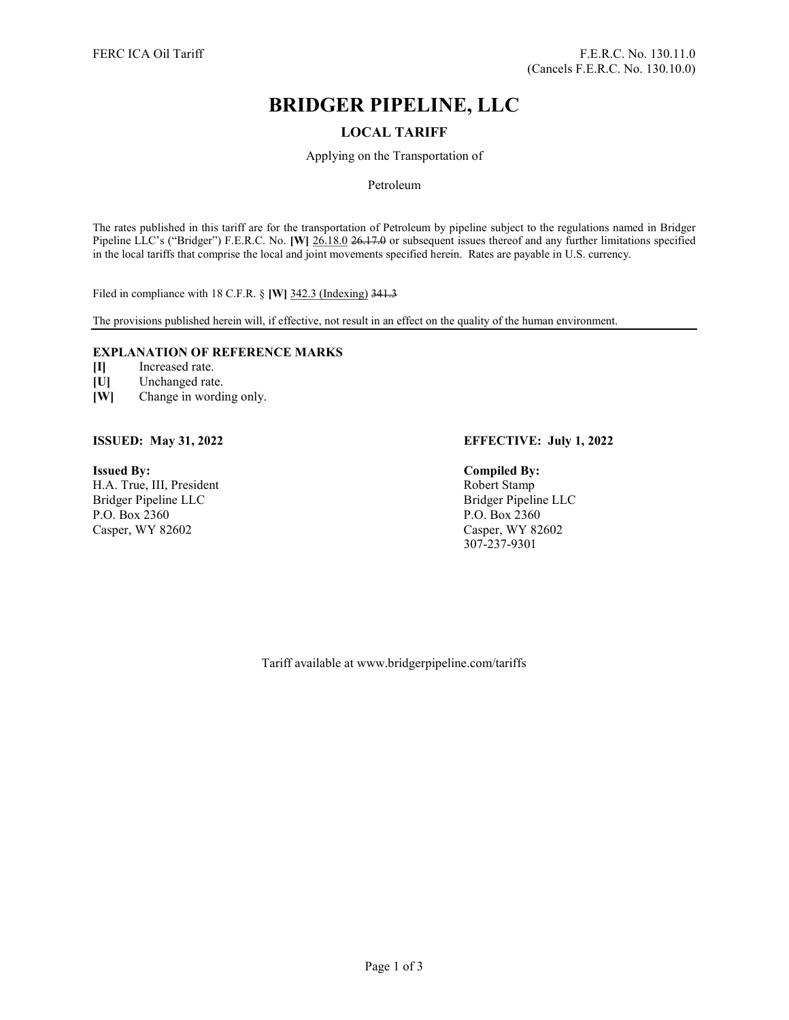# BRIDGER PIPELINE, LLC

# LOCAL TARIFF

Applying on the Transportation of

## Petroleum

The rates published in this tariff are for the transportation of Petroleum by pipeline subject to the regulations named in Bridger Pipeline LLC's ("Bridger") F.E.R.C. No. [W] 26.18.0 26.17.0 or subsequent issues thereof and any further limitations specified in the local tariffs that comprise the local and joint movements specified herein. Rates are payable in U.S. currency.

Filed in compliance with 18 C.F.R. § [W] 342.3 (Indexing) 341.3

The provisions published herein will, if effective, not result in an effect on the quality of the human environment.

# EXPLANATION OF REFERENCE MARKS

- [I] Increased rate.
- [U] Unchanged rate.
- [W] Change in wording only.

Issued By: Compiled By: H.A. True, III, President Robert Stamp Bridger Pipeline LLC<br>
P.O. Box 2360<br>
P.O. Box 2360<br>
P.O. Box 2360 Casper, WY 82602 Casper, WY 82602

# ISSUED: May 31, 2022 EFFECTIVE: July 1, 2022

P.O. Box 2360 307-237-9301

Tariff available at www.bridgerpipeline.com/tariffs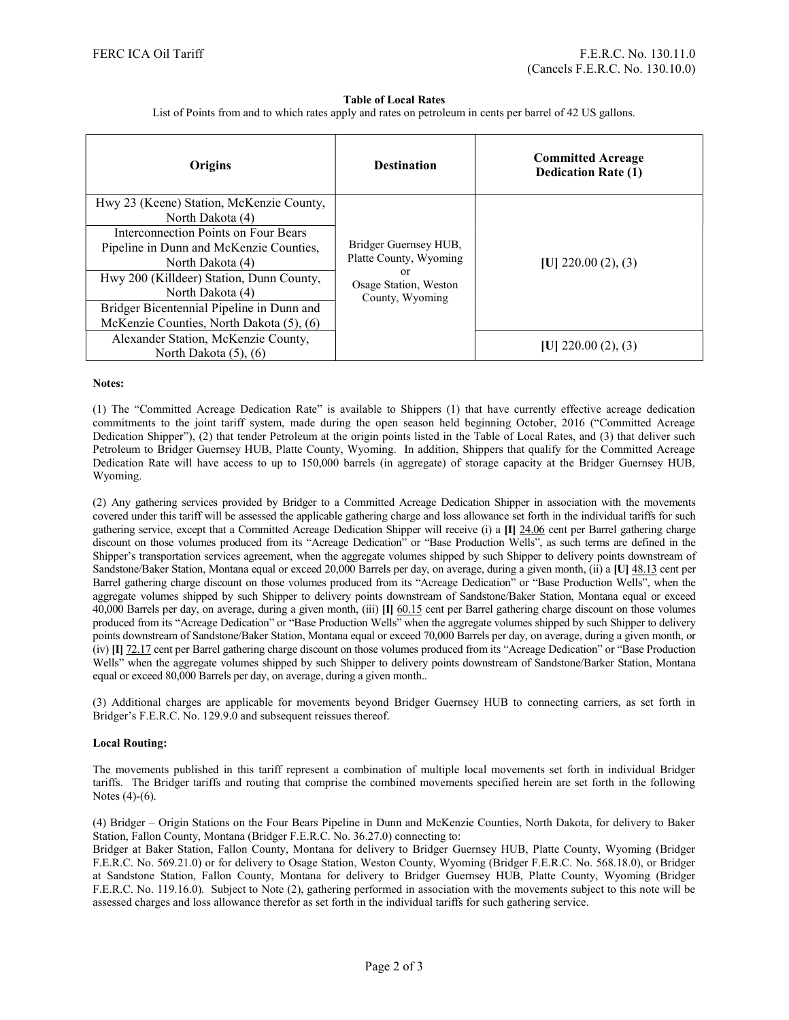#### Table of Local Rates

List of Points from and to which rates apply and rates on petroleum in cents per barrel of 42 US gallons.

| Origins                                                                                             | <b>Destination</b>                                                                                | <b>Committed Acreage</b><br><b>Dedication Rate (1)</b> |
|-----------------------------------------------------------------------------------------------------|---------------------------------------------------------------------------------------------------|--------------------------------------------------------|
| Hwy 23 (Keene) Station, McKenzie County,<br>North Dakota (4)                                        |                                                                                                   |                                                        |
| Interconnection Points on Four Bears<br>Pipeline in Dunn and McKenzie Counties,<br>North Dakota (4) | Bridger Guernsey HUB,<br>Platte County, Wyoming<br>or<br>Osage Station, Weston<br>County, Wyoming | $ U $ 220.00 (2), (3)                                  |
| Hwy 200 (Killdeer) Station, Dunn County,<br>North Dakota (4)                                        |                                                                                                   |                                                        |
| Bridger Bicentennial Pipeline in Dunn and<br>McKenzie Counties, North Dakota (5), (6)               |                                                                                                   |                                                        |
| Alexander Station, McKenzie County,<br>North Dakota (5), (6)                                        |                                                                                                   | $ U $ 220.00 (2), (3)                                  |

#### Notes:

(1) The "Committed Acreage Dedication Rate" is available to Shippers (1) that have currently effective acreage dedication commitments to the joint tariff system, made during the open season held beginning October, 2016 ("Committed Acreage Dedication Shipper"), (2) that tender Petroleum at the origin points listed in the Table of Local Rates, and (3) that deliver such Petroleum to Bridger Guernsey HUB, Platte County, Wyoming. In addition, Shippers that qualify for the Committed Acreage Dedication Rate will have access to up to 150,000 barrels (in aggregate) of storage capacity at the Bridger Guernsey HUB, Wyoming.

(2) Any gathering services provided by Bridger to a Committed Acreage Dedication Shipper in association with the movements covered under this tariff will be assessed the applicable gathering charge and loss allowance set forth in the individual tariffs for such gathering service, except that a Committed Acreage Dedication Shipper will receive (i) a [I] 24.06 cent per Barrel gathering charge discount on those volumes produced from its "Acreage Dedication" or "Base Production Wells", as such terms are defined in the Shipper's transportation services agreement, when the aggregate volumes shipped by such Shipper to delivery points downstream of Sandstone/Baker Station, Montana equal or exceed 20,000 Barrels per day, on average, during a given month, (ii) a [U] 48.13 cent per Barrel gathering charge discount on those volumes produced from its "Acreage Dedication" or "Base Production Wells", when the aggregate volumes shipped by such Shipper to delivery points downstream of Sandstone/Baker Station, Montana equal or exceed 40,000 Barrels per day, on average, during a given month, (iii) [I] 60.15 cent per Barrel gathering charge discount on those volumes produced from its "Acreage Dedication" or "Base Production Wells" when the aggregate volumes shipped by such Shipper to delivery points downstream of Sandstone/Baker Station, Montana equal or exceed 70,000 Barrels per day, on average, during a given month, or (iv) [I] 72.17 cent per Barrel gathering charge discount on those volumes produced from its "Acreage Dedication" or "Base Production Wells" when the aggregate volumes shipped by such Shipper to delivery points downstream of Sandstone/Barker Station, Montana equal or exceed 80,000 Barrels per day, on average, during a given month..

(3) Additional charges are applicable for movements beyond Bridger Guernsey HUB to connecting carriers, as set forth in Bridger's F.E.R.C. No. 129.9.0 and subsequent reissues thereof.

### Local Routing:

The movements published in this tariff represent a combination of multiple local movements set forth in individual Bridger tariffs. The Bridger tariffs and routing that comprise the combined movements specified herein are set forth in the following Notes (4)-(6).

(4) Bridger – Origin Stations on the Four Bears Pipeline in Dunn and McKenzie Counties, North Dakota, for delivery to Baker Station, Fallon County, Montana (Bridger F.E.R.C. No. 36.27.0) connecting to:

Bridger at Baker Station, Fallon County, Montana for delivery to Bridger Guernsey HUB, Platte County, Wyoming (Bridger F.E.R.C. No. 569.21.0) or for delivery to Osage Station, Weston County, Wyoming (Bridger F.E.R.C. No. 568.18.0), or Bridger at Sandstone Station, Fallon County, Montana for delivery to Bridger Guernsey HUB, Platte County, Wyoming (Bridger F.E.R.C. No. 119.16.0). Subject to Note (2), gathering performed in association with the movements subject to this note will be assessed charges and loss allowance therefor as set forth in the individual tariffs for such gathering service.